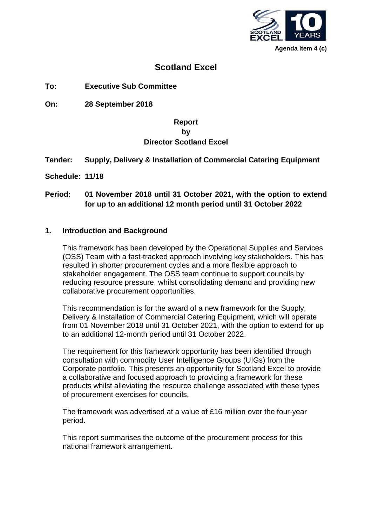

**Agenda Item 4 (c)**

# **Scotland Excel**

**To: Executive Sub Committee**

**On: 28 September 2018**

## **Report by Director Scotland Excel**

## **Tender: Supply, Delivery & Installation of Commercial Catering Equipment**

**Schedule: 11/18**

## **Period: 01 November 2018 until 31 October 2021, with the option to extend for up to an additional 12 month period until 31 October 2022**

#### **1. Introduction and Background**

This framework has been developed by the Operational Supplies and Services (OSS) Team with a fast-tracked approach involving key stakeholders. This has resulted in shorter procurement cycles and a more flexible approach to stakeholder engagement. The OSS team continue to support councils by reducing resource pressure, whilst consolidating demand and providing new collaborative procurement opportunities.

This recommendation is for the award of a new framework for the Supply, Delivery & Installation of Commercial Catering Equipment, which will operate from 01 November 2018 until 31 October 2021, with the option to extend for up to an additional 12-month period until 31 October 2022.

The requirement for this framework opportunity has been identified through consultation with commodity User Intelligence Groups (UIGs) from the Corporate portfolio. This presents an opportunity for Scotland Excel to provide a collaborative and focused approach to providing a framework for these products whilst alleviating the resource challenge associated with these types of procurement exercises for councils.

The framework was advertised at a value of £16 million over the four-year period.

This report summarises the outcome of the procurement process for this national framework arrangement.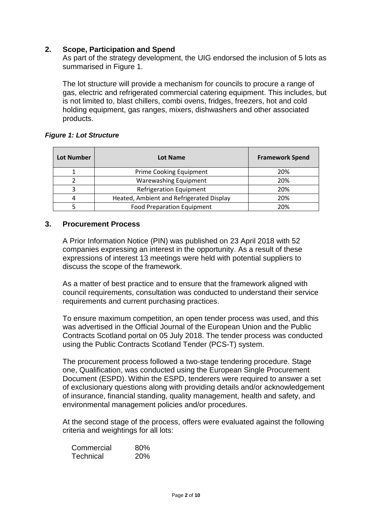## **2. Scope, Participation and Spend**

As part of the strategy development, the UIG endorsed the inclusion of 5 lots as summarised in Figure 1.

The lot structure will provide a mechanism for councils to procure a range of gas, electric and refrigerated commercial catering equipment. This includes, but is not limited to, blast chillers, combi ovens, fridges, freezers, hot and cold holding equipment, gas ranges, mixers, dishwashers and other associated products.

#### *Figure 1: Lot Structure*

| <b>Lot Number</b> | Lot Name                                 | <b>Framework Spend</b> |
|-------------------|------------------------------------------|------------------------|
|                   | Prime Cooking Equipment                  | 20%                    |
|                   | Warewashing Equipment                    | 20%                    |
|                   | <b>Refrigeration Equipment</b>           | 20%                    |
|                   | Heated, Ambient and Refrigerated Display | 20%                    |
|                   | <b>Food Preparation Equipment</b>        | 20%                    |

#### **3. Procurement Process**

A Prior Information Notice (PIN) was published on 23 April 2018 with 52 companies expressing an interest in the opportunity. As a result of these expressions of interest 13 meetings were held with potential suppliers to discuss the scope of the framework.

As a matter of best practice and to ensure that the framework aligned with council requirements, consultation was conducted to understand their service requirements and current purchasing practices.

To ensure maximum competition, an open tender process was used, and this was advertised in the Official Journal of the European Union and the Public Contracts Scotland portal on 05 July 2018. The tender process was conducted using the Public Contracts Scotland Tender (PCS-T) system.

The procurement process followed a two-stage tendering procedure. Stage one, Qualification, was conducted using the European Single Procurement Document (ESPD). Within the ESPD, tenderers were required to answer a set of exclusionary questions along with providing details and/or acknowledgement of insurance, financial standing, quality management, health and safety, and environmental management policies and/or procedures.

At the second stage of the process, offers were evaluated against the following criteria and weightings for all lots:

| Commercial | 80%        |
|------------|------------|
| Technical  | <b>20%</b> |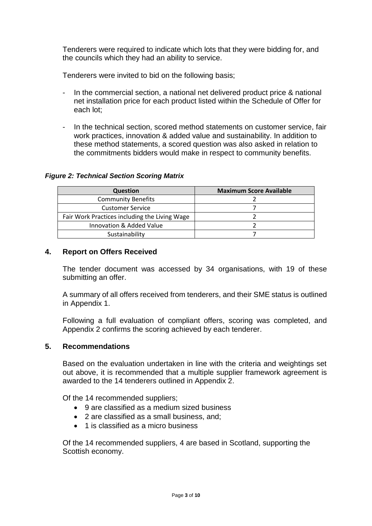Tenderers were required to indicate which lots that they were bidding for, and the councils which they had an ability to service.

Tenderers were invited to bid on the following basis;

- In the commercial section, a national net delivered product price & national net installation price for each product listed within the Schedule of Offer for each lot;
- In the technical section, scored method statements on customer service, fair work practices, innovation & added value and sustainability. In addition to these method statements, a scored question was also asked in relation to the commitments bidders would make in respect to community benefits.

#### *Figure 2: Technical Section Scoring Matrix*

| <b>Question</b>                               | <b>Maximum Score Available</b> |
|-----------------------------------------------|--------------------------------|
| <b>Community Benefits</b>                     |                                |
| <b>Customer Service</b>                       |                                |
| Fair Work Practices including the Living Wage |                                |
| Innovation & Added Value                      |                                |
| Sustainability                                |                                |

## **4. Report on Offers Received**

The tender document was accessed by 34 organisations, with 19 of these submitting an offer.

A summary of all offers received from tenderers, and their SME status is outlined in Appendix 1.

Following a full evaluation of compliant offers, scoring was completed, and Appendix 2 confirms the scoring achieved by each tenderer.

#### **5. Recommendations**

Based on the evaluation undertaken in line with the criteria and weightings set out above, it is recommended that a multiple supplier framework agreement is awarded to the 14 tenderers outlined in Appendix 2.

Of the 14 recommended suppliers;

- 9 are classified as a medium sized business
- 2 are classified as a small business, and;
- 1 is classified as a micro business

Of the 14 recommended suppliers, 4 are based in Scotland, supporting the Scottish economy.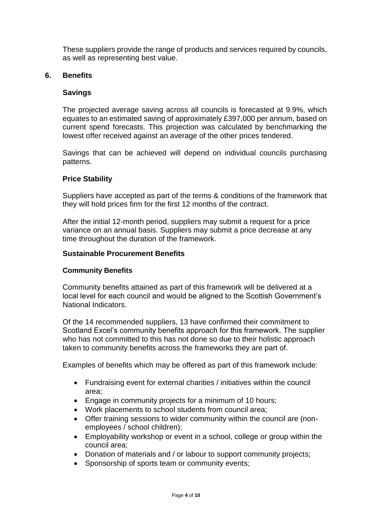These suppliers provide the range of products and services required by councils, as well as representing best value.

## **6. Benefits**

## **Savings**

The projected average saving across all councils is forecasted at 9.9%, which equates to an estimated saving of approximately £397,000 per annum, based on current spend forecasts. This projection was calculated by benchmarking the lowest offer received against an average of the other prices tendered.

Savings that can be achieved will depend on individual councils purchasing patterns.

## **Price Stability**

Suppliers have accepted as part of the terms & conditions of the framework that they will hold prices firm for the first 12 months of the contract.

After the initial 12-month period, suppliers may submit a request for a price variance on an annual basis. Suppliers may submit a price decrease at any time throughout the duration of the framework.

## **Sustainable Procurement Benefits**

## **Community Benefits**

Community benefits attained as part of this framework will be delivered at a local level for each council and would be aligned to the Scottish Government's National Indicators.

Of the 14 recommended suppliers, 13 have confirmed their commitment to Scotland Excel's community benefits approach for this framework. The supplier who has not committed to this has not done so due to their holistic approach taken to community benefits across the frameworks they are part of.

Examples of benefits which may be offered as part of this framework include:

- Fundraising event for external charities / initiatives within the council area;
- Engage in community projects for a minimum of 10 hours;
- Work placements to school students from council area;
- Offer training sessions to wider community within the council are (nonemployees / school children);
- Employability workshop or event in a school, college or group within the council area;
- Donation of materials and / or labour to support community projects;
- Sponsorship of sports team or community events;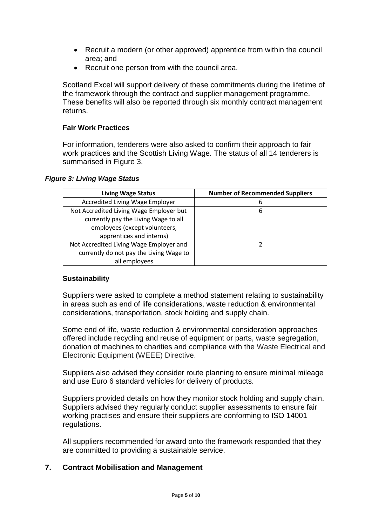- Recruit a modern (or other approved) apprentice from within the council area; and
- Recruit one person from with the council area.

Scotland Excel will support delivery of these commitments during the lifetime of the framework through the contract and supplier management programme. These benefits will also be reported through six monthly contract management returns.

## **Fair Work Practices**

For information, tenderers were also asked to confirm their approach to fair work practices and the Scottish Living Wage. The status of all 14 tenderers is summarised in Figure 3.

#### *Figure 3: Living Wage Status*

| <b>Living Wage Status</b>               | <b>Number of Recommended Suppliers</b> |
|-----------------------------------------|----------------------------------------|
| Accredited Living Wage Employer         | 6                                      |
| Not Accredited Living Wage Employer but | 6                                      |
| currently pay the Living Wage to all    |                                        |
| employees (except volunteers,           |                                        |
| apprentices and interns)                |                                        |
| Not Accredited Living Wage Employer and |                                        |
| currently do not pay the Living Wage to |                                        |
| all employees                           |                                        |

## **Sustainability**

Suppliers were asked to complete a method statement relating to sustainability in areas such as end of life considerations, waste reduction & environmental considerations, transportation, stock holding and supply chain.

Some end of life, waste reduction & environmental consideration approaches offered include recycling and reuse of equipment or parts, waste segregation, donation of machines to charities and compliance with the Waste Electrical and Electronic Equipment (WEEE) Directive.

Suppliers also advised they consider route planning to ensure minimal mileage and use Euro 6 standard vehicles for delivery of products.

Suppliers provided details on how they monitor stock holding and supply chain. Suppliers advised they regularly conduct supplier assessments to ensure fair working practises and ensure their suppliers are conforming to ISO 14001 regulations.

All suppliers recommended for award onto the framework responded that they are committed to providing a sustainable service.

## **7. Contract Mobilisation and Management**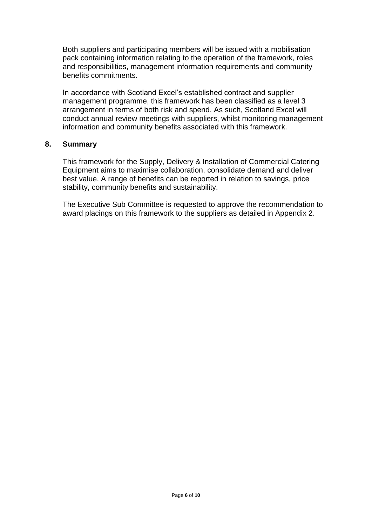Both suppliers and participating members will be issued with a mobilisation pack containing information relating to the operation of the framework, roles and responsibilities, management information requirements and community benefits commitments.

In accordance with Scotland Excel's established contract and supplier management programme, this framework has been classified as a level 3 arrangement in terms of both risk and spend. As such, Scotland Excel will conduct annual review meetings with suppliers, whilst monitoring management information and community benefits associated with this framework.

#### **8. Summary**

This framework for the Supply, Delivery & Installation of Commercial Catering Equipment aims to maximise collaboration, consolidate demand and deliver best value. A range of benefits can be reported in relation to savings, price stability, community benefits and sustainability.

The Executive Sub Committee is requested to approve the recommendation to award placings on this framework to the suppliers as detailed in Appendix 2.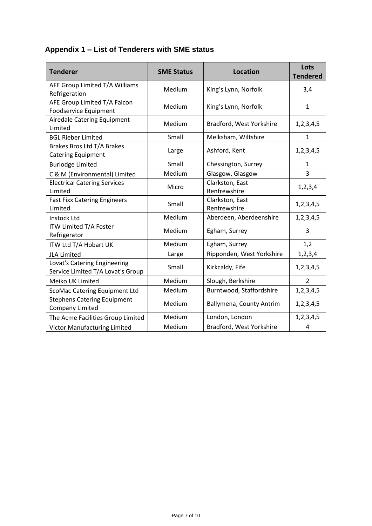# **Appendix 1 – List of Tenderers with SME status**

| <b>Tenderer</b>                                                   | <b>SME Status</b> | <b>Location</b>                 | Lots<br><b>Tendered</b> |
|-------------------------------------------------------------------|-------------------|---------------------------------|-------------------------|
| AFE Group Limited T/A Williams<br>Refrigeration                   | Medium            | King's Lynn, Norfolk            | 3,4                     |
| AFE Group Limited T/A Falcon<br>Foodservice Equipment             | Medium            | King's Lynn, Norfolk            | $\mathbf{1}$            |
| Airedale Catering Equipment<br>Limited                            | Medium            | Bradford, West Yorkshire        | 1,2,3,4,5               |
| <b>BGL Rieber Limited</b>                                         | Small             | Melksham, Wiltshire             | $\mathbf{1}$            |
| Brakes Bros Ltd T/A Brakes<br><b>Catering Equipment</b>           | Large             | Ashford, Kent                   | 1,2,3,4,5               |
| <b>Burlodge Limited</b>                                           | Small             | Chessington, Surrey             | 1                       |
| C & M (Environmental) Limited                                     | Medium            | Glasgow, Glasgow                | 3                       |
| <b>Electrical Catering Services</b><br>Limited                    | Micro             | Clarkston, East<br>Renfrewshire | 1, 2, 3, 4              |
| <b>Fast Fixx Catering Engineers</b><br>Limited                    | Small             | Clarkston, East<br>Renfrewshire | 1,2,3,4,5               |
| <b>Instock Ltd</b>                                                | Medium            | Aberdeen, Aberdeenshire         | 1,2,3,4,5               |
| ITW Limited T/A Foster<br>Refrigerator                            | Medium            | Egham, Surrey                   | 3                       |
| ITW Ltd T/A Hobart UK                                             | Medium            | Egham, Surrey                   | 1,2                     |
| <b>JLA Limited</b>                                                | Large             | Ripponden, West Yorkshire       | 1, 2, 3, 4              |
| Lovat's Catering Engineering<br>Service Limited T/A Lovat's Group | Small             | Kirkcaldy, Fife                 | 1,2,3,4,5               |
| Meiko UK Limited                                                  | Medium            | Slough, Berkshire               | $\overline{2}$          |
| ScoMac Catering Equipment Ltd                                     | Medium            | Burntwood, Staffordshire        | 1,2,3,4,5               |
| <b>Stephens Catering Equipment</b><br><b>Company Limited</b>      | Medium            | Ballymena, County Antrim        | 1,2,3,4,5               |
| The Acme Facilities Group Limited                                 | Medium            | London, London                  | 1,2,3,4,5               |
| Victor Manufacturing Limited                                      | Medium            | Bradford, West Yorkshire        | 4                       |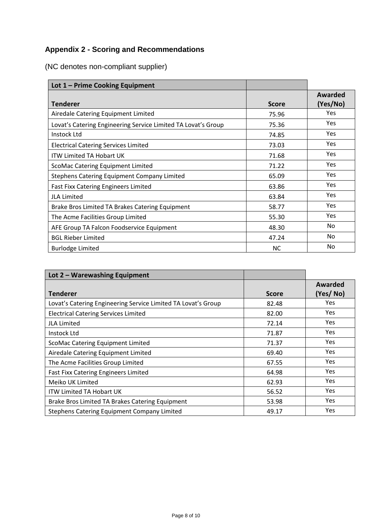# **Appendix 2 - Scoring and Recommendations**

| Lot 1 - Prime Cooking Equipment                               |              |                     |
|---------------------------------------------------------------|--------------|---------------------|
| <b>Tenderer</b>                                               | <b>Score</b> | Awarded<br>(Yes/No) |
| Airedale Catering Equipment Limited                           | 75.96        | Yes                 |
| Lovat's Catering Engineering Service Limited TA Lovat's Group | 75.36        | Yes                 |
| Instock Ltd                                                   | 74.85        | Yes                 |
| <b>Electrical Catering Services Limited</b>                   | 73.03        | <b>Yes</b>          |
| ITW Limited TA Hobart UK                                      | 71.68        | <b>Yes</b>          |
| ScoMac Catering Equipment Limited                             | 71.22        | <b>Yes</b>          |
| Stephens Catering Equipment Company Limited                   | 65.09        | <b>Yes</b>          |
| <b>Fast Fixx Catering Engineers Limited</b>                   | 63.86        | <b>Yes</b>          |
| <b>JLA Limited</b>                                            | 63.84        | Yes                 |
| Brake Bros Limited TA Brakes Catering Equipment               | 58.77        | <b>Yes</b>          |
| The Acme Facilities Group Limited                             | 55.30        | Yes                 |
| AFE Group TA Falcon Foodservice Equipment                     | 48.30        | No                  |
| <b>BGL Rieber Limited</b>                                     | 47.24        | No                  |
| <b>Burlodge Limited</b>                                       | <b>NC</b>    | No                  |

(NC denotes non-compliant supplier)

| Lot 2 - Warewashing Equipment                                 |              |          |
|---------------------------------------------------------------|--------------|----------|
|                                                               |              | Awarded  |
| <b>Tenderer</b>                                               | <b>Score</b> | (Yes/No) |
| Lovat's Catering Engineering Service Limited TA Lovat's Group | 82.48        | Yes      |
| <b>Electrical Catering Services Limited</b>                   | 82.00        | Yes      |
| <b>JLA Limited</b>                                            | 72.14        | Yes      |
| Instock Ltd                                                   | 71.87        | Yes      |
| ScoMac Catering Equipment Limited                             | 71.37        | Yes      |
| Airedale Catering Equipment Limited                           | 69.40        | Yes      |
| The Acme Facilities Group Limited                             | 67.55        | Yes      |
| <b>Fast Fixx Catering Engineers Limited</b>                   | 64.98        | Yes      |
| Meiko UK Limited                                              | 62.93        | Yes      |
| <b>ITW Limited TA Hobart UK</b>                               | 56.52        | Yes      |
| Brake Bros Limited TA Brakes Catering Equipment               | 53.98        | Yes      |
| Stephens Catering Equipment Company Limited                   | 49.17        | Yes      |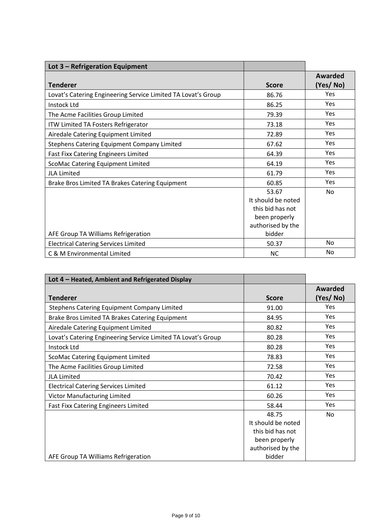| Lot 3 - Refrigeration Equipment                               |                    |                |
|---------------------------------------------------------------|--------------------|----------------|
|                                                               |                    | <b>Awarded</b> |
| <b>Tenderer</b>                                               | <b>Score</b>       | (Yes/No)       |
| Lovat's Catering Engineering Service Limited TA Lovat's Group | 86.76              | Yes            |
| <b>Instock Ltd</b>                                            | 86.25              | <b>Yes</b>     |
| The Acme Facilities Group Limited                             | 79.39              | <b>Yes</b>     |
| ITW Limited TA Fosters Refrigerator                           | 73.18              | <b>Yes</b>     |
| Airedale Catering Equipment Limited                           | 72.89              | Yes            |
| <b>Stephens Catering Equipment Company Limited</b>            | 67.62              | Yes            |
| <b>Fast Fixx Catering Engineers Limited</b>                   | 64.39              | Yes            |
| ScoMac Catering Equipment Limited                             | 64.19              | Yes            |
| <b>JLA Limited</b>                                            | 61.79              | <b>Yes</b>     |
| Brake Bros Limited TA Brakes Catering Equipment               | 60.85              | <b>Yes</b>     |
|                                                               | 53.67              | <b>No</b>      |
|                                                               | It should be noted |                |
|                                                               | this bid has not   |                |
|                                                               | been properly      |                |
|                                                               | authorised by the  |                |
| AFE Group TA Williams Refrigeration                           | bidder             |                |
| <b>Electrical Catering Services Limited</b>                   | 50.37              | <b>No</b>      |
| C & M Environmental Limited                                   | <b>NC</b>          | No             |

| Lot 4 - Heated, Ambient and Refrigerated Display              |                    |            |
|---------------------------------------------------------------|--------------------|------------|
|                                                               |                    | Awarded    |
| <b>Tenderer</b>                                               | <b>Score</b>       | (Yes/No)   |
| Stephens Catering Equipment Company Limited                   | 91.00              | Yes        |
| Brake Bros Limited TA Brakes Catering Equipment               | 84.95              | <b>Yes</b> |
| Airedale Catering Equipment Limited                           | 80.82              | Yes        |
| Lovat's Catering Engineering Service Limited TA Lovat's Group | 80.28              | Yes        |
| <b>Instock Ltd</b>                                            | 80.28              | <b>Yes</b> |
| ScoMac Catering Equipment Limited                             | 78.83              | Yes        |
| The Acme Facilities Group Limited                             | 72.58              | <b>Yes</b> |
| <b>JLA Limited</b>                                            | 70.42              | <b>Yes</b> |
| <b>Electrical Catering Services Limited</b>                   | 61.12              | <b>Yes</b> |
| Victor Manufacturing Limited                                  | 60.26              | <b>Yes</b> |
| <b>Fast Fixx Catering Engineers Limited</b>                   | 58.44              | Yes        |
|                                                               | 48.75              | <b>No</b>  |
|                                                               | It should be noted |            |
|                                                               | this bid has not   |            |
|                                                               | been properly      |            |
|                                                               | authorised by the  |            |
| AFE Group TA Williams Refrigeration                           | bidder             |            |